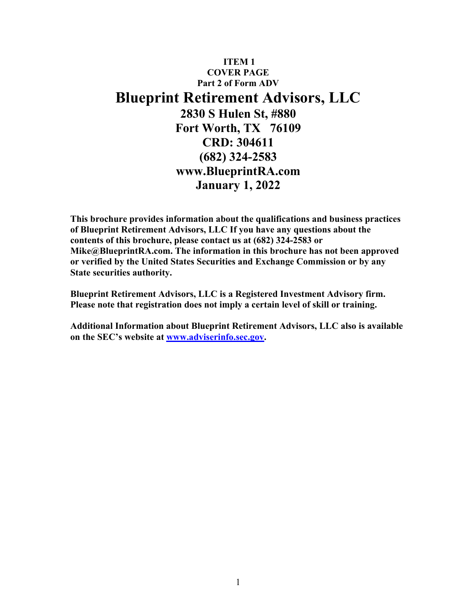# **ITEM 1 COVER PAGE Part 2 of Form ADV Blueprint Retirement Advisors, LLC 2830 S Hulen St, #880 Fort Worth, TX 76109 CRD: 304611 (682) 324-2583 www.BlueprintRA.com January 1, 2022**

**This brochure provides information about the qualifications and business practices of Blueprint Retirement Advisors, LLC If you have any questions about the contents of this brochure, please contact us at (682) 324-2583 or Mike@BlueprintRA.com. The information in this brochure has not been approved or verified by the United States Securities and Exchange Commission or by any State securities authority.**

**Blueprint Retirement Advisors, LLC is a Registered Investment Advisory firm. Please note that registration does not imply a certain level of skill or training.**

**Additional Information about Blueprint Retirement Advisors, LLC also is available on the SEC's website at www.adviserinfo.sec.gov.**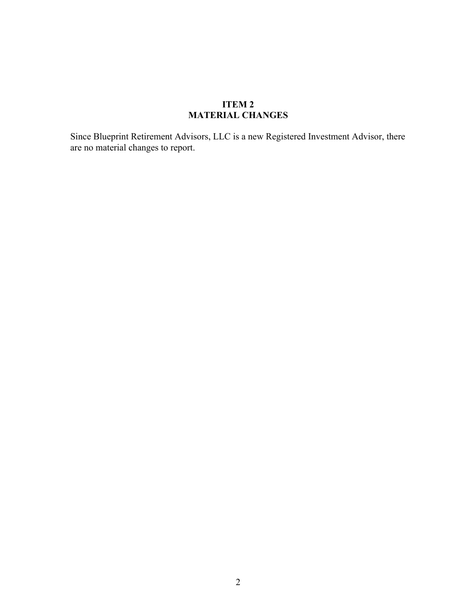# **ITEM 2 MATERIAL CHANGES**

Since Blueprint Retirement Advisors, LLC is a new Registered Investment Advisor, there are no material changes to report.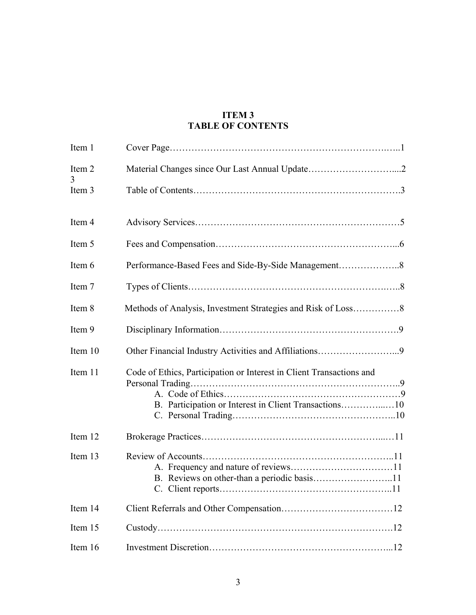# **ITEM 3 TABLE OF CONTENTS**

| Item 1      |                                                                      |
|-------------|----------------------------------------------------------------------|
| Item 2<br>3 |                                                                      |
| Item 3      |                                                                      |
| Item 4      |                                                                      |
| Item 5      |                                                                      |
| Item 6      |                                                                      |
| Item 7      |                                                                      |
| Item 8      |                                                                      |
| Item 9      |                                                                      |
| Item 10     | Other Financial Industry Activities and Affiliations9                |
| Item 11     | Code of Ethics, Participation or Interest in Client Transactions and |
| Item 12     |                                                                      |
| Item 13     |                                                                      |
| Item 14     |                                                                      |
| Item 15     |                                                                      |
| Item 16     |                                                                      |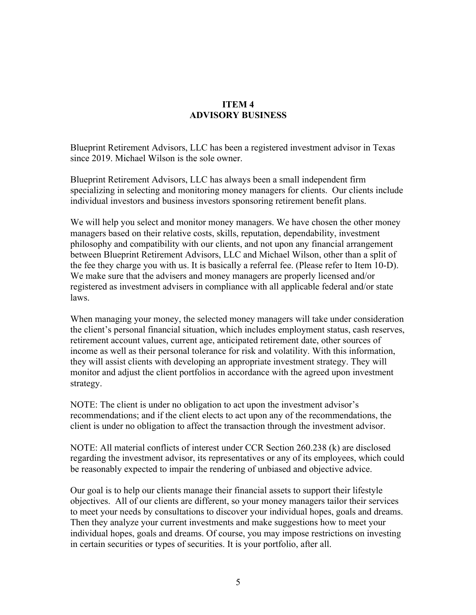### **ITEM 4 ADVISORY BUSINESS**

Blueprint Retirement Advisors, LLC has been a registered investment advisor in Texas since 2019. Michael Wilson is the sole owner.

Blueprint Retirement Advisors, LLC has always been a small independent firm specializing in selecting and monitoring money managers for clients. Our clients include individual investors and business investors sponsoring retirement benefit plans.

We will help you select and monitor money managers. We have chosen the other money managers based on their relative costs, skills, reputation, dependability, investment philosophy and compatibility with our clients, and not upon any financial arrangement between Blueprint Retirement Advisors, LLC and Michael Wilson, other than a split of the fee they charge you with us. It is basically a referral fee. (Please refer to Item 10-D). We make sure that the advisers and money managers are properly licensed and/or registered as investment advisers in compliance with all applicable federal and/or state laws.

When managing your money, the selected money managers will take under consideration the client's personal financial situation, which includes employment status, cash reserves, retirement account values, current age, anticipated retirement date, other sources of income as well as their personal tolerance for risk and volatility. With this information, they will assist clients with developing an appropriate investment strategy. They will monitor and adjust the client portfolios in accordance with the agreed upon investment strategy.

NOTE: The client is under no obligation to act upon the investment advisor's recommendations; and if the client elects to act upon any of the recommendations, the client is under no obligation to affect the transaction through the investment advisor.

NOTE: All material conflicts of interest under CCR Section 260.238 (k) are disclosed regarding the investment advisor, its representatives or any of its employees, which could be reasonably expected to impair the rendering of unbiased and objective advice.

Our goal is to help our clients manage their financial assets to support their lifestyle objectives. All of our clients are different, so your money managers tailor their services to meet your needs by consultations to discover your individual hopes, goals and dreams. Then they analyze your current investments and make suggestions how to meet your individual hopes, goals and dreams. Of course, you may impose restrictions on investing in certain securities or types of securities. It is your portfolio, after all.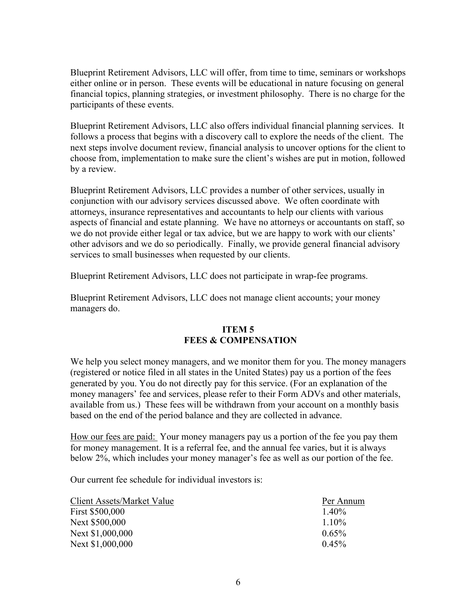Blueprint Retirement Advisors, LLC will offer, from time to time, seminars or workshops either online or in person. These events will be educational in nature focusing on general financial topics, planning strategies, or investment philosophy. There is no charge for the participants of these events.

Blueprint Retirement Advisors, LLC also offers individual financial planning services. It follows a process that begins with a discovery call to explore the needs of the client. The next steps involve document review, financial analysis to uncover options for the client to choose from, implementation to make sure the client's wishes are put in motion, followed by a review.

Blueprint Retirement Advisors, LLC provides a number of other services, usually in conjunction with our advisory services discussed above. We often coordinate with attorneys, insurance representatives and accountants to help our clients with various aspects of financial and estate planning. We have no attorneys or accountants on staff, so we do not provide either legal or tax advice, but we are happy to work with our clients' other advisors and we do so periodically. Finally, we provide general financial advisory services to small businesses when requested by our clients.

Blueprint Retirement Advisors, LLC does not participate in wrap-fee programs.

Blueprint Retirement Advisors, LLC does not manage client accounts; your money managers do.

### **ITEM 5 FEES & COMPENSATION**

We help you select money managers, and we monitor them for you. The money managers (registered or notice filed in all states in the United States) pay us a portion of the fees generated by you. You do not directly pay for this service. (For an explanation of the money managers' fee and services, please refer to their Form ADVs and other materials, available from us.) These fees will be withdrawn from your account on a monthly basis based on the end of the period balance and they are collected in advance.

How our fees are paid: Your money managers pay us a portion of the fee you pay them for money management. It is a referral fee, and the annual fee varies, but it is always below 2%, which includes your money manager's fee as well as our portion of the fee.

Our current fee schedule for individual investors is:

| Client Assets/Market Value | Per Annum |
|----------------------------|-----------|
| First \$500,000            | $1.40\%$  |
| Next \$500,000             | $1.10\%$  |
| Next \$1,000,000           | $0.65\%$  |
| Next \$1,000,000           | $0.45\%$  |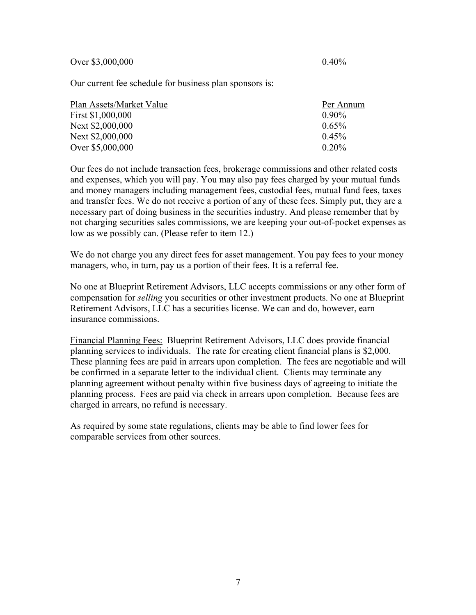Over \$3,000,000 0.40%

Our current fee schedule for business plan sponsors is:

| Plan Assets/Market Value | Per Annum |
|--------------------------|-----------|
| First \$1,000,000        | $0.90\%$  |
| Next \$2,000,000         | $0.65\%$  |
| Next \$2,000,000         | $0.45\%$  |
| Over \$5,000,000         | $0.20\%$  |

Our fees do not include transaction fees, brokerage commissions and other related costs and expenses, which you will pay. You may also pay fees charged by your mutual funds and money managers including management fees, custodial fees, mutual fund fees, taxes and transfer fees. We do not receive a portion of any of these fees. Simply put, they are a necessary part of doing business in the securities industry. And please remember that by not charging securities sales commissions, we are keeping your out-of-pocket expenses as low as we possibly can. (Please refer to item 12.)

We do not charge you any direct fees for asset management. You pay fees to your money managers, who, in turn, pay us a portion of their fees. It is a referral fee.

No one at Blueprint Retirement Advisors, LLC accepts commissions or any other form of compensation for *selling* you securities or other investment products. No one at Blueprint Retirement Advisors, LLC has a securities license. We can and do, however, earn insurance commissions.

Financial Planning Fees: Blueprint Retirement Advisors, LLC does provide financial planning services to individuals. The rate for creating client financial plans is \$2,000. These planning fees are paid in arrears upon completion. The fees are negotiable and will be confirmed in a separate letter to the individual client. Clients may terminate any planning agreement without penalty within five business days of agreeing to initiate the planning process. Fees are paid via check in arrears upon completion. Because fees are charged in arrears, no refund is necessary.

As required by some state regulations, clients may be able to find lower fees for comparable services from other sources.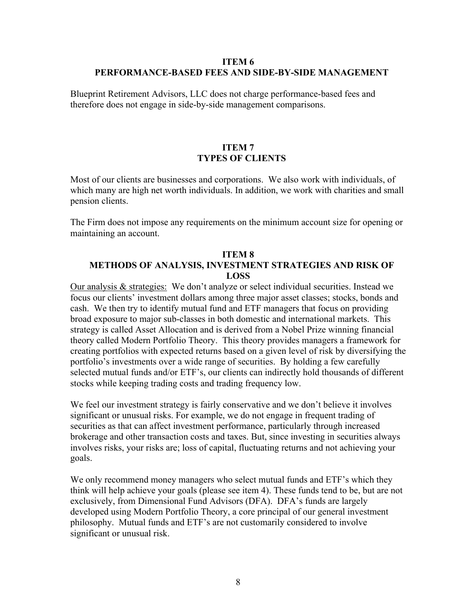### **ITEM 6 PERFORMANCE-BASED FEES AND SIDE-BY-SIDE MANAGEMENT**

Blueprint Retirement Advisors, LLC does not charge performance-based fees and therefore does not engage in side-by-side management comparisons.

#### **ITEM 7 TYPES OF CLIENTS**

Most of our clients are businesses and corporations. We also work with individuals, of which many are high net worth individuals. In addition, we work with charities and small pension clients.

The Firm does not impose any requirements on the minimum account size for opening or maintaining an account.

#### **ITEM 8 METHODS OF ANALYSIS, INVESTMENT STRATEGIES AND RISK OF LOSS**

Our analysis & strategies: We don't analyze or select individual securities. Instead we focus our clients' investment dollars among three major asset classes; stocks, bonds and cash. We then try to identify mutual fund and ETF managers that focus on providing broad exposure to major sub-classes in both domestic and international markets. This strategy is called Asset Allocation and is derived from a Nobel Prize winning financial theory called Modern Portfolio Theory. This theory provides managers a framework for creating portfolios with expected returns based on a given level of risk by diversifying the portfolio's investments over a wide range of securities. By holding a few carefully selected mutual funds and/or ETF's, our clients can indirectly hold thousands of different stocks while keeping trading costs and trading frequency low.

We feel our investment strategy is fairly conservative and we don't believe it involves significant or unusual risks. For example, we do not engage in frequent trading of securities as that can affect investment performance, particularly through increased brokerage and other transaction costs and taxes. But, since investing in securities always involves risks, your risks are; loss of capital, fluctuating returns and not achieving your goals.

We only recommend money managers who select mutual funds and ETF's which they think will help achieve your goals (please see item 4). These funds tend to be, but are not exclusively, from Dimensional Fund Advisors (DFA). DFA's funds are largely developed using Modern Portfolio Theory, a core principal of our general investment philosophy. Mutual funds and ETF's are not customarily considered to involve significant or unusual risk.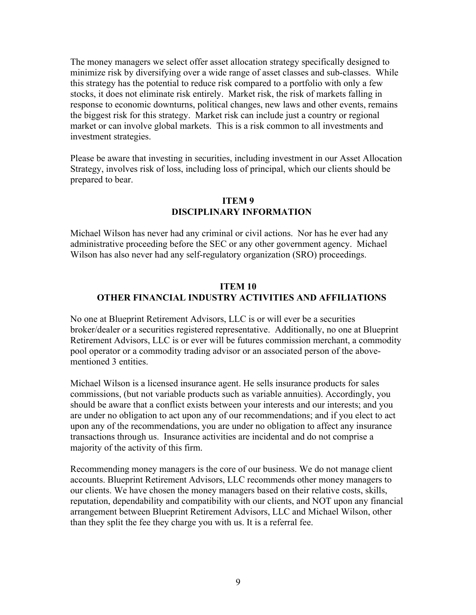The money managers we select offer asset allocation strategy specifically designed to minimize risk by diversifying over a wide range of asset classes and sub-classes. While this strategy has the potential to reduce risk compared to a portfolio with only a few stocks, it does not eliminate risk entirely. Market risk, the risk of markets falling in response to economic downturns, political changes, new laws and other events, remains the biggest risk for this strategy. Market risk can include just a country or regional market or can involve global markets. This is a risk common to all investments and investment strategies.

Please be aware that investing in securities, including investment in our Asset Allocation Strategy, involves risk of loss, including loss of principal, which our clients should be prepared to bear.

## **ITEM 9 DISCIPLINARY INFORMATION**

Michael Wilson has never had any criminal or civil actions. Nor has he ever had any administrative proceeding before the SEC or any other government agency. Michael Wilson has also never had any self-regulatory organization (SRO) proceedings.

### **ITEM 10 OTHER FINANCIAL INDUSTRY ACTIVITIES AND AFFILIATIONS**

No one at Blueprint Retirement Advisors, LLC is or will ever be a securities broker/dealer or a securities registered representative. Additionally, no one at Blueprint Retirement Advisors, LLC is or ever will be futures commission merchant, a commodity pool operator or a commodity trading advisor or an associated person of the abovementioned 3 entities.

Michael Wilson is a licensed insurance agent. He sells insurance products for sales commissions, (but not variable products such as variable annuities). Accordingly, you should be aware that a conflict exists between your interests and our interests; and you are under no obligation to act upon any of our recommendations; and if you elect to act upon any of the recommendations, you are under no obligation to affect any insurance transactions through us. Insurance activities are incidental and do not comprise a majority of the activity of this firm.

Recommending money managers is the core of our business. We do not manage client accounts. Blueprint Retirement Advisors, LLC recommends other money managers to our clients. We have chosen the money managers based on their relative costs, skills, reputation, dependability and compatibility with our clients, and NOT upon any financial arrangement between Blueprint Retirement Advisors, LLC and Michael Wilson, other than they split the fee they charge you with us. It is a referral fee.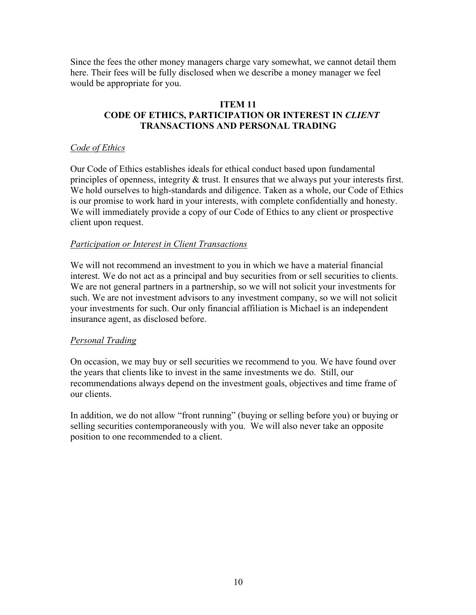Since the fees the other money managers charge vary somewhat, we cannot detail them here. Their fees will be fully disclosed when we describe a money manager we feel would be appropriate for you.

#### **ITEM 11 CODE OF ETHICS, PARTICIPATION OR INTEREST IN** *CLIENT* **TRANSACTIONS AND PERSONAL TRADING**

### *Code of Ethics*

Our Code of Ethics establishes ideals for ethical conduct based upon fundamental principles of openness, integrity & trust. It ensures that we always put your interests first. We hold ourselves to high-standards and diligence. Taken as a whole, our Code of Ethics is our promise to work hard in your interests, with complete confidentially and honesty. We will immediately provide a copy of our Code of Ethics to any client or prospective client upon request.

### *Participation or Interest in Client Transactions*

We will not recommend an investment to you in which we have a material financial interest. We do not act as a principal and buy securities from or sell securities to clients. We are not general partners in a partnership, so we will not solicit your investments for such. We are not investment advisors to any investment company, so we will not solicit your investments for such. Our only financial affiliation is Michael is an independent insurance agent, as disclosed before.

### *Personal Trading*

On occasion, we may buy or sell securities we recommend to you. We have found over the years that clients like to invest in the same investments we do. Still, our recommendations always depend on the investment goals, objectives and time frame of our clients.

In addition, we do not allow "front running" (buying or selling before you) or buying or selling securities contemporaneously with you. We will also never take an opposite position to one recommended to a client.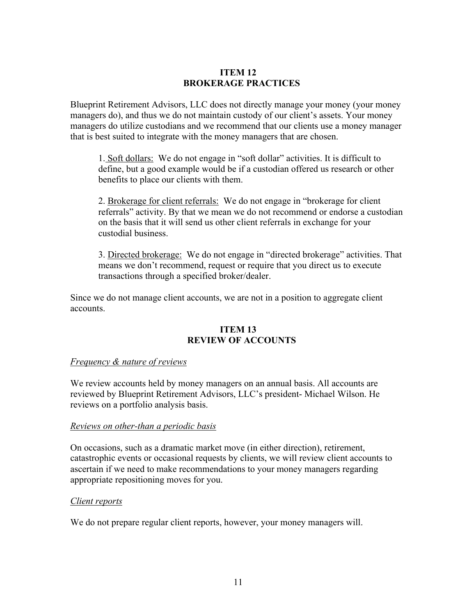### **ITEM 12 BROKERAGE PRACTICES**

Blueprint Retirement Advisors, LLC does not directly manage your money (your money managers do), and thus we do not maintain custody of our client's assets. Your money managers do utilize custodians and we recommend that our clients use a money manager that is best suited to integrate with the money managers that are chosen.

1. Soft dollars: We do not engage in "soft dollar" activities. It is difficult to define, but a good example would be if a custodian offered us research or other benefits to place our clients with them.

2. Brokerage for client referrals: We do not engage in "brokerage for client referrals" activity. By that we mean we do not recommend or endorse a custodian on the basis that it will send us other client referrals in exchange for your custodial business.

3. Directed brokerage: We do not engage in "directed brokerage" activities. That means we don't recommend, request or require that you direct us to execute transactions through a specified broker/dealer.

Since we do not manage client accounts, we are not in a position to aggregate client accounts.

### **ITEM 13 REVIEW OF ACCOUNTS**

### *Frequency & nature of reviews*

We review accounts held by money managers on an annual basis. All accounts are reviewed by Blueprint Retirement Advisors, LLC's president- Michael Wilson. He reviews on a portfolio analysis basis.

### *Reviews on other-than a periodic basis*

On occasions, such as a dramatic market move (in either direction), retirement, catastrophic events or occasional requests by clients, we will review client accounts to ascertain if we need to make recommendations to your money managers regarding appropriate repositioning moves for you.

### *Client reports*

We do not prepare regular client reports, however, your money managers will.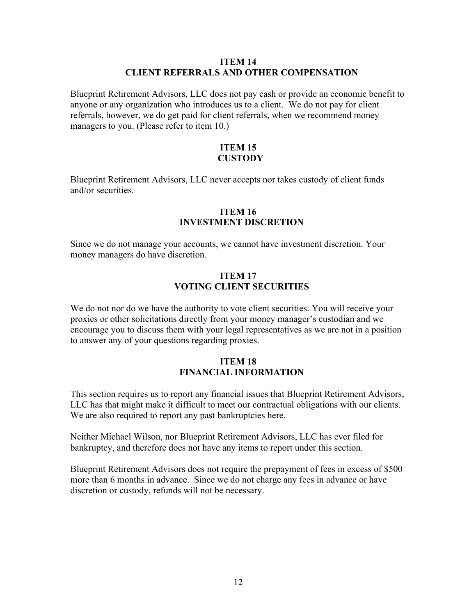#### **ITEM 14 CLIENT REFERRALS AND OTHER COMPENSATION**

Blueprint Retirement Advisors, LLC does not pay cash or provide an economic benefit to anyone or any organization who introduces us to a client. We do not pay for client referrals, however, we do get paid for client referrals, when we recommend money managers to you. (Please refer to item 10.)

### **ITEM 15 CUSTODY**

Blueprint Retirement Advisors, LLC never accepts nor takes custody of client funds and/or securities.

#### **ITEM 16 INVESTMENT DISCRETION**

Since we do not manage your accounts, we cannot have investment discretion. Your money managers do have discretion.

### **ITEM 17 VOTING CLIENT SECURITIES**

We do not nor do we have the authority to vote client securities. You will receive your proxies or other solicitations directly from your money manager's custodian and we encourage you to discuss them with your legal representatives as we are not in a position to answer any of your questions regarding proxies.

### **ITEM 18 FINANCIAL INFORMATION**

This section requires us to report any financial issues that Blueprint Retirement Advisors, LLC has that might make it difficult to meet our contractual obligations with our clients. We are also required to report any past bankruptcies here.

Neither Michael Wilson, nor Blueprint Retirement Advisors, LLC has ever filed for bankruptcy, and therefore does not have any items to report under this section.

Blueprint Retirement Advisors does not require the prepayment of fees in excess of \$500 more than 6 months in advance. Since we do not charge any fees in advance or have discretion or custody, refunds will not be necessary.